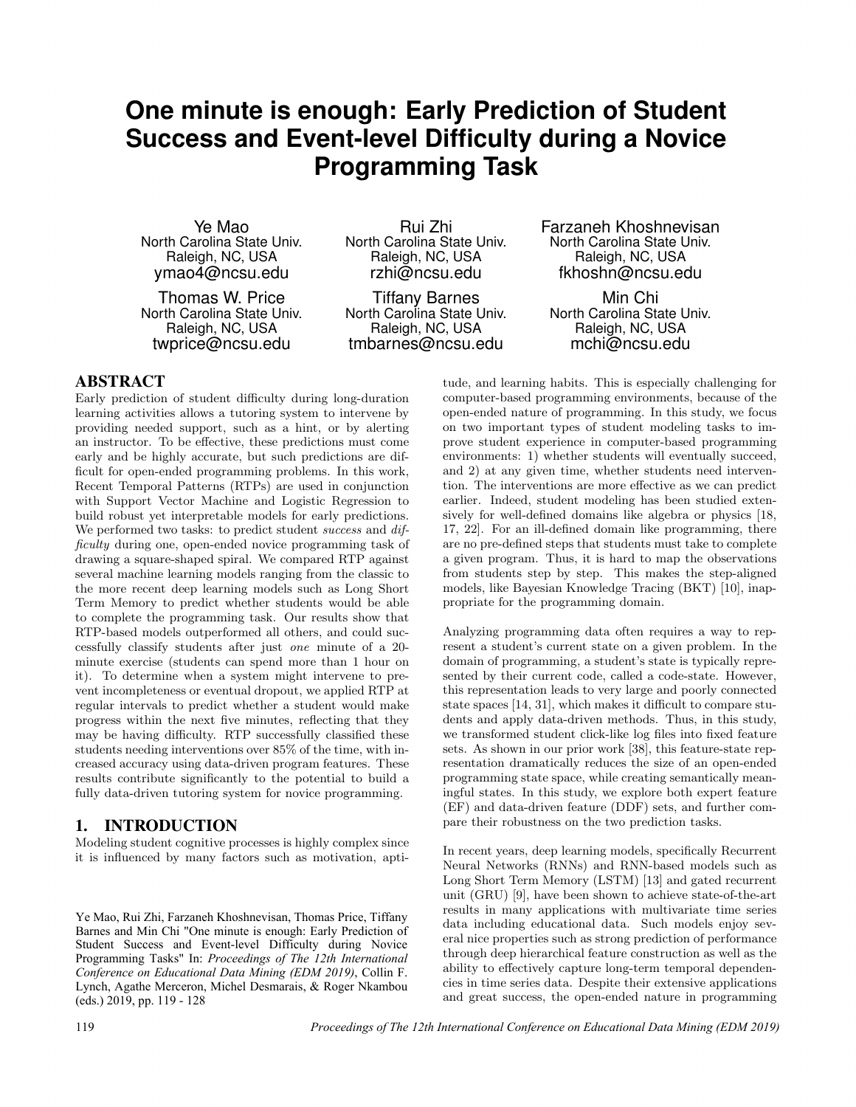# **One minute is enough: Early Prediction of Student Success and Event-level Difficulty during a Novice Programming Task**

Ye Mao North Carolina State Univ. Raleigh, NC, USA ymao4@ncsu.edu

Thomas W. Price North Carolina State Univ. Raleigh, NC, USA twprice@ncsu.edu

Rui Zhi North Carolina State Univ. Raleigh, NC, USA rzhi@ncsu.edu

Tiffany Barnes North Carolina State Univ. Raleigh, NC, USA tmbarnes@ncsu.edu

Farzaneh Khoshnevisan North Carolina State Univ. Raleigh, NC, USA fkhoshn@ncsu.edu

Min Chi North Carolina State Univ. Raleigh, NC, USA mchi@ncsu.edu

# ABSTRACT

Early prediction of student difficulty during long-duration learning activities allows a tutoring system to intervene by providing needed support, such as a hint, or by alerting an instructor. To be effective, these predictions must come early and be highly accurate, but such predictions are difficult for open-ended programming problems. In this work, Recent Temporal Patterns (RTPs) are used in conjunction with Support Vector Machine and Logistic Regression to build robust yet interpretable models for early predictions. We performed two tasks: to predict student *success* and *dif*ficulty during one, open-ended novice programming task of drawing a square-shaped spiral. We compared RTP against several machine learning models ranging from the classic to the more recent deep learning models such as Long Short Term Memory to predict whether students would be able to complete the programming task. Our results show that RTP-based models outperformed all others, and could successfully classify students after just one minute of a 20 minute exercise (students can spend more than 1 hour on it). To determine when a system might intervene to prevent incompleteness or eventual dropout, we applied RTP at regular intervals to predict whether a student would make progress within the next five minutes, reflecting that they may be having difficulty. RTP successfully classified these students needing interventions over 85% of the time, with increased accuracy using data-driven program features. These results contribute significantly to the potential to build a fully data-driven tutoring system for novice programming.

# 1. INTRODUCTION

Modeling student cognitive processes is highly complex since it is influenced by many factors such as motivation, apti-

Ye Mao, Rui Zhi, Farzaneh Khoshnevisan, Thomas Price, Tiffany Barnes and Min Chi "One minute is enough: Early Prediction of Student Success and Event-level Difficulty during Novice Programming Tasks" In: *Proceedings of The 12th International Conference on Educational Data Mining (EDM 2019)*, Collin F. Lynch, Agathe Merceron, Michel Desmarais, & Roger Nkambou (eds.) 2019, pp. 119 - 128

tude, and learning habits. This is especially challenging for computer-based programming environments, because of the open-ended nature of programming. In this study, we focus on two important types of student modeling tasks to improve student experience in computer-based programming environments: 1) whether students will eventually succeed, and 2) at any given time, whether students need intervention. The interventions are more effective as we can predict earlier. Indeed, student modeling has been studied extensively for well-defined domains like algebra or physics [18, 17, 22]. For an ill-defined domain like programming, there are no pre-defined steps that students must take to complete a given program. Thus, it is hard to map the observations from students step by step. This makes the step-aligned models, like Bayesian Knowledge Tracing (BKT) [10], inappropriate for the programming domain.

Analyzing programming data often requires a way to represent a student's current state on a given problem. In the domain of programming, a student's state is typically represented by their current code, called a code-state. However, this representation leads to very large and poorly connected state spaces [14, 31], which makes it difficult to compare students and apply data-driven methods. Thus, in this study, we transformed student click-like log files into fixed feature sets. As shown in our prior work [38], this feature-state representation dramatically reduces the size of an open-ended programming state space, while creating semantically meaningful states. In this study, we explore both expert feature (EF) and data-driven feature (DDF) sets, and further compare their robustness on the two prediction tasks.

In recent years, deep learning models, specifically Recurrent Neural Networks (RNNs) and RNN-based models such as Long Short Term Memory (LSTM) [13] and gated recurrent unit (GRU) [9], have been shown to achieve state-of-the-art results in many applications with multivariate time series data including educational data. Such models enjoy several nice properties such as strong prediction of performance through deep hierarchical feature construction as well as the ability to effectively capture long-term temporal dependencies in time series data. Despite their extensive applications and great success, the open-ended nature in programming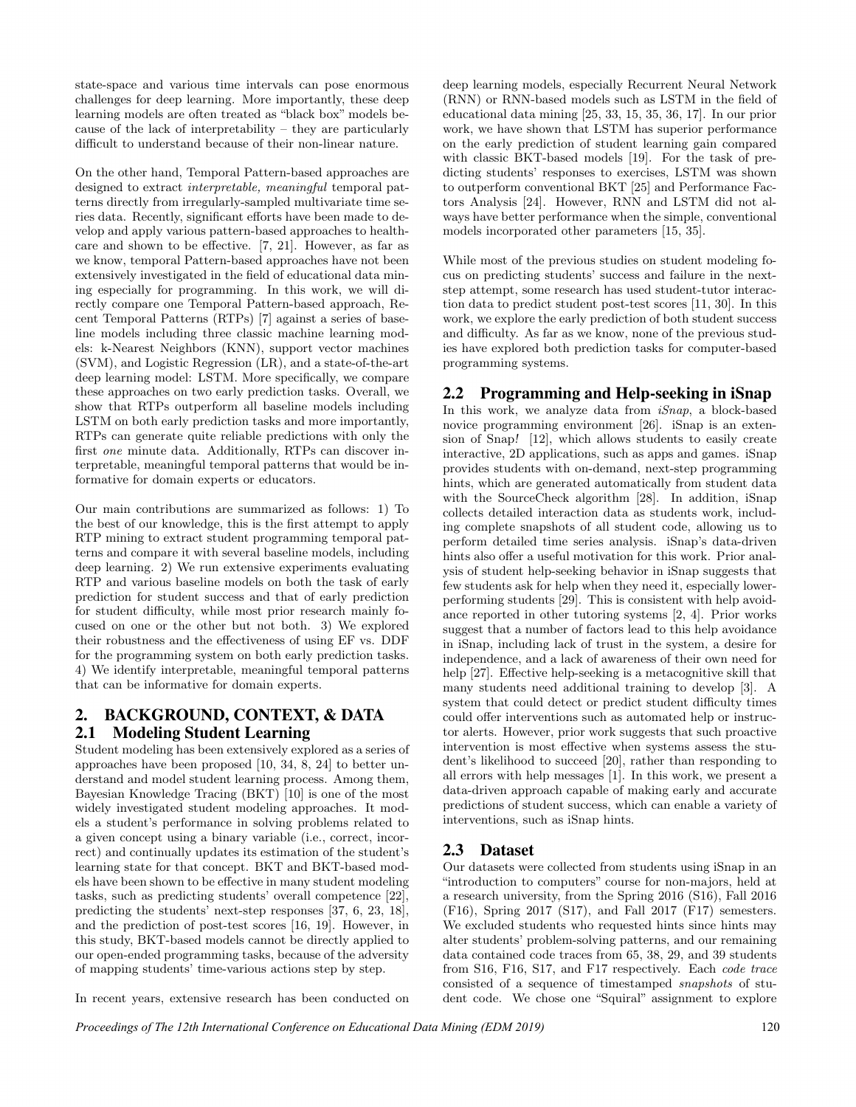state-space and various time intervals can pose enormous challenges for deep learning. More importantly, these deep learning models are often treated as "black box" models because of the lack of interpretability – they are particularly difficult to understand because of their non-linear nature.

On the other hand, Temporal Pattern-based approaches are designed to extract interpretable, meaningful temporal patterns directly from irregularly-sampled multivariate time series data. Recently, significant efforts have been made to develop and apply various pattern-based approaches to healthcare and shown to be effective. [7, 21]. However, as far as we know, temporal Pattern-based approaches have not been extensively investigated in the field of educational data mining especially for programming. In this work, we will directly compare one Temporal Pattern-based approach, Recent Temporal Patterns (RTPs) [7] against a series of baseline models including three classic machine learning models: k-Nearest Neighbors (KNN), support vector machines (SVM), and Logistic Regression (LR), and a state-of-the-art deep learning model: LSTM. More specifically, we compare these approaches on two early prediction tasks. Overall, we show that RTPs outperform all baseline models including LSTM on both early prediction tasks and more importantly, RTPs can generate quite reliable predictions with only the first one minute data. Additionally, RTPs can discover interpretable, meaningful temporal patterns that would be informative for domain experts or educators.

Our main contributions are summarized as follows: 1) To the best of our knowledge, this is the first attempt to apply RTP mining to extract student programming temporal patterns and compare it with several baseline models, including deep learning. 2) We run extensive experiments evaluating RTP and various baseline models on both the task of early prediction for student success and that of early prediction for student difficulty, while most prior research mainly focused on one or the other but not both. 3) We explored their robustness and the effectiveness of using EF vs. DDF for the programming system on both early prediction tasks. 4) We identify interpretable, meaningful temporal patterns that can be informative for domain experts.

# 2. BACKGROUND, CONTEXT, & DATA 2.1 Modeling Student Learning

Student modeling has been extensively explored as a series of approaches have been proposed [10, 34, 8, 24] to better understand and model student learning process. Among them, Bayesian Knowledge Tracing (BKT) [10] is one of the most widely investigated student modeling approaches. It models a student's performance in solving problems related to a given concept using a binary variable (i.e., correct, incorrect) and continually updates its estimation of the student's learning state for that concept. BKT and BKT-based models have been shown to be effective in many student modeling tasks, such as predicting students' overall competence [22], predicting the students' next-step responses [37, 6, 23, 18], and the prediction of post-test scores [16, 19]. However, in this study, BKT-based models cannot be directly applied to our open-ended programming tasks, because of the adversity of mapping students' time-various actions step by step.

In recent years, extensive research has been conducted on

deep learning models, especially Recurrent Neural Network (RNN) or RNN-based models such as LSTM in the field of educational data mining [25, 33, 15, 35, 36, 17]. In our prior work, we have shown that LSTM has superior performance on the early prediction of student learning gain compared with classic BKT-based models [19]. For the task of predicting students' responses to exercises, LSTM was shown to outperform conventional BKT [25] and Performance Factors Analysis [24]. However, RNN and LSTM did not always have better performance when the simple, conventional models incorporated other parameters [15, 35].

While most of the previous studies on student modeling focus on predicting students' success and failure in the nextstep attempt, some research has used student-tutor interaction data to predict student post-test scores [11, 30]. In this work, we explore the early prediction of both student success and difficulty. As far as we know, none of the previous studies have explored both prediction tasks for computer-based programming systems.

# 2.2 Programming and Help-seeking in iSnap

In this work, we analyze data from  $iSnap$ , a block-based novice programming environment [26]. iSnap is an extension of Snap! [12], which allows students to easily create interactive, 2D applications, such as apps and games. iSnap provides students with on-demand, next-step programming hints, which are generated automatically from student data with the SourceCheck algorithm [28]. In addition, iSnap collects detailed interaction data as students work, including complete snapshots of all student code, allowing us to perform detailed time series analysis. iSnap's data-driven hints also offer a useful motivation for this work. Prior analysis of student help-seeking behavior in iSnap suggests that few students ask for help when they need it, especially lowerperforming students [29]. This is consistent with help avoidance reported in other tutoring systems [2, 4]. Prior works suggest that a number of factors lead to this help avoidance in iSnap, including lack of trust in the system, a desire for independence, and a lack of awareness of their own need for help [27]. Effective help-seeking is a metacognitive skill that many students need additional training to develop [3]. A system that could detect or predict student difficulty times could offer interventions such as automated help or instructor alerts. However, prior work suggests that such proactive intervention is most effective when systems assess the student's likelihood to succeed [20], rather than responding to all errors with help messages [1]. In this work, we present a data-driven approach capable of making early and accurate predictions of student success, which can enable a variety of interventions, such as iSnap hints.

# 2.3 Dataset

Our datasets were collected from students using iSnap in an "introduction to computers" course for non-majors, held at a research university, from the Spring 2016 (S16), Fall 2016 (F16), Spring 2017 (S17), and Fall 2017 (F17) semesters. We excluded students who requested hints since hints may alter students' problem-solving patterns, and our remaining data contained code traces from 65, 38, 29, and 39 students from S16, F16, S17, and F17 respectively. Each code trace consisted of a sequence of timestamped snapshots of student code. We chose one "Squiral" assignment to explore

*Proceedings of The 12th International Conference on Educational Data Mining (EDM 2019)* 120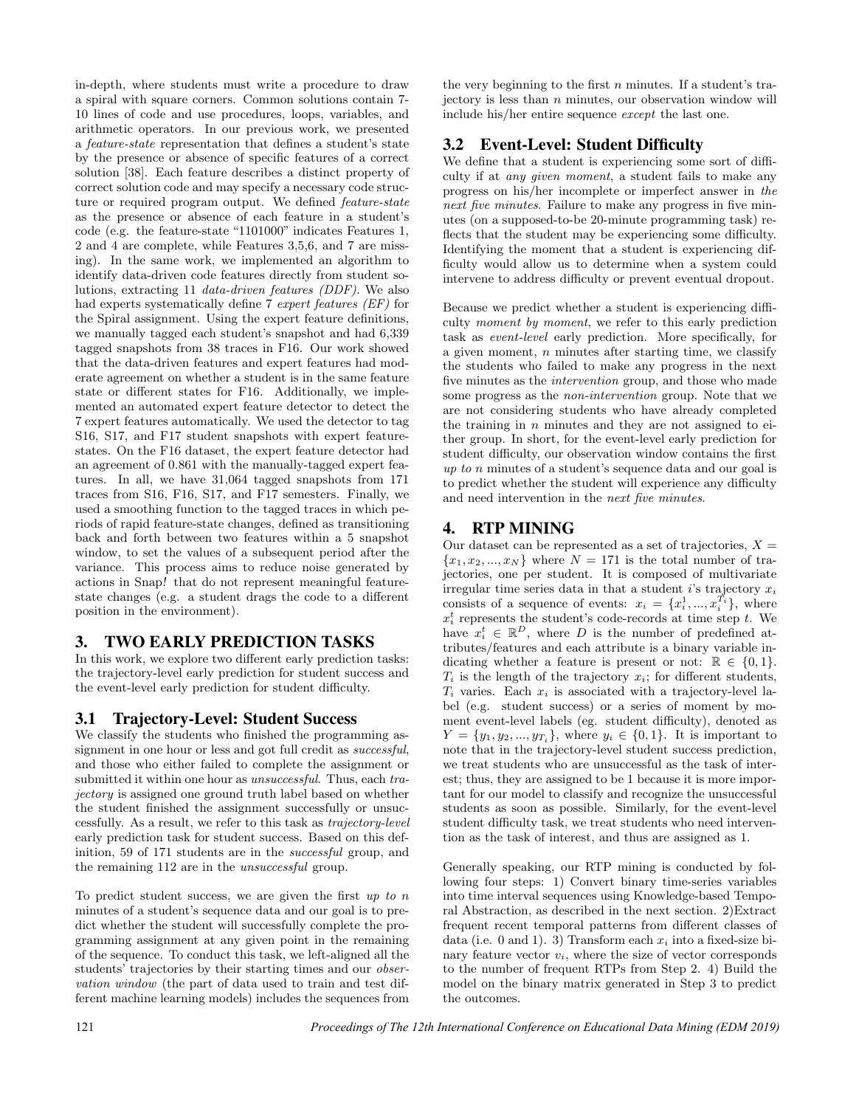in-depth, where students must write a procedure to draw a spiral with square corners. Common solutions contain 7- 10 lines of code and use procedures, loops, variables, and arithmetic operators. In our previous work, we presented a feature-state representation that defines a student's state by the presence or absence of specific features of a correct solution [38]. Each feature describes a distinct property of correct solution code and may specify a necessary code structure or required program output. We defined feature-state as the presence or absence of each feature in a student's code (e.g. the feature-state "1101000" indicates Features 1, 2 and 4 are complete, while Features 3,5,6, and 7 are missing). In the same work, we implemented an algorithm to identify data-driven code features directly from student solutions, extracting 11 data-driven features (DDF). We also had experts systematically define 7 expert features (EF) for the Spiral assignment. Using the expert feature definitions, we manually tagged each student's snapshot and had 6,339 tagged snapshots from 38 traces in F16. Our work showed that the data-driven features and expert features had moderate agreement on whether a student is in the same feature state or different states for F16. Additionally, we implemented an automated expert feature detector to detect the 7 expert features automatically. We used the detector to tag S16, S17, and F17 student snapshots with expert featurestates. On the F16 dataset, the expert feature detector had an agreement of 0.861 with the manually-tagged expert features. In all, we have 31,064 tagged snapshots from 171 traces from S16, F16, S17, and F17 semesters. Finally, we used a smoothing function to the tagged traces in which periods of rapid feature-state changes, defined as transitioning back and forth between two features within a 5 snapshot window, to set the values of a subsequent period after the variance. This process aims to reduce noise generated by actions in Snap! that do not represent meaningful featurestate changes (e.g. a student drags the code to a different position in the environment).

# 3. TWO EARLY PREDICTION TASKS

In this work, we explore two different early prediction tasks: the trajectory-level early prediction for student success and the event-level early prediction for student difficulty.

# 3.1 Trajectory-Level: Student Success

We classify the students who finished the programming assignment in one hour or less and got full credit as *successful*, and those who either failed to complete the assignment or submitted it within one hour as *unsuccessful*. Thus, each trajectory is assigned one ground truth label based on whether the student finished the assignment successfully or unsuccessfully. As a result, we refer to this task as trajectory-level early prediction task for student success. Based on this definition, 59 of 171 students are in the successful group, and the remaining 112 are in the unsuccessful group.

To predict student success, we are given the first  $up to n$ minutes of a student's sequence data and our goal is to predict whether the student will successfully complete the programming assignment at any given point in the remaining of the sequence. To conduct this task, we left-aligned all the students' trajectories by their starting times and our observation window (the part of data used to train and test different machine learning models) includes the sequences from

the very beginning to the first  $n$  minutes. If a student's trajectory is less than  $n$  minutes, our observation window will include his/her entire sequence except the last one.

# 3.2 Event-Level: Student Difficulty

We define that a student is experiencing some sort of difficulty if at any given moment, a student fails to make any progress on his/her incomplete or imperfect answer in the next five minutes. Failure to make any progress in five minutes (on a supposed-to-be 20-minute programming task) reflects that the student may be experiencing some difficulty. Identifying the moment that a student is experiencing difficulty would allow us to determine when a system could intervene to address difficulty or prevent eventual dropout.

Because we predict whether a student is experiencing difficulty moment by moment, we refer to this early prediction task as event-level early prediction. More specifically, for a given moment,  $n$  minutes after starting time, we classify the students who failed to make any progress in the next five minutes as the intervention group, and those who made some progress as the non-intervention group. Note that we are not considering students who have already completed the training in  $n$  minutes and they are not assigned to either group. In short, for the event-level early prediction for student difficulty, our observation window contains the first up to n minutes of a student's sequence data and our goal is to predict whether the student will experience any difficulty and need intervention in the next five minutes.

# 4. RTP MINING

Our dataset can be represented as a set of trajectories,  $X =$  ${x_1, x_2, ..., x_N}$  where  $N = 171$  is the total number of trajectories, one per student. It is composed of multivariate irregular time series data in that a student  $i$ 's trajectory  $x_i$ consists of a sequence of events:  $x_i = \{x_i^1, ..., x_i^{T_i}\},\$  where  $x_i^t$  represents the student's code-records at time step t. We have  $x_i^t \in \mathbb{R}^D$ , where D is the number of predefined attributes/features and each attribute is a binary variable indicating whether a feature is present or not:  $\mathbb{R} \in \{0,1\}.$  $T_i$  is the length of the trajectory  $x_i$ ; for different students,  $T_i$  varies. Each  $x_i$  is associated with a trajectory-level label (e.g. student success) or a series of moment by moment event-level labels (eg. student difficulty), denoted as  $Y = \{y_1, y_2, ..., y_{T_i}\}\$ , where  $y_i \in \{0, 1\}$ . It is important to note that in the trajectory-level student success prediction, we treat students who are unsuccessful as the task of interest; thus, they are assigned to be 1 because it is more important for our model to classify and recognize the unsuccessful students as soon as possible. Similarly, for the event-level student difficulty task, we treat students who need intervention as the task of interest, and thus are assigned as 1.

Generally speaking, our RTP mining is conducted by following four steps: 1) Convert binary time-series variables into time interval sequences using Knowledge-based Temporal Abstraction, as described in the next section. 2)Extract frequent recent temporal patterns from different classes of data (i.e. 0 and 1). 3) Transform each  $x_i$  into a fixed-size binary feature vector  $v_i$ , where the size of vector corresponds to the number of frequent RTPs from Step 2. 4) Build the model on the binary matrix generated in Step 3 to predict the outcomes.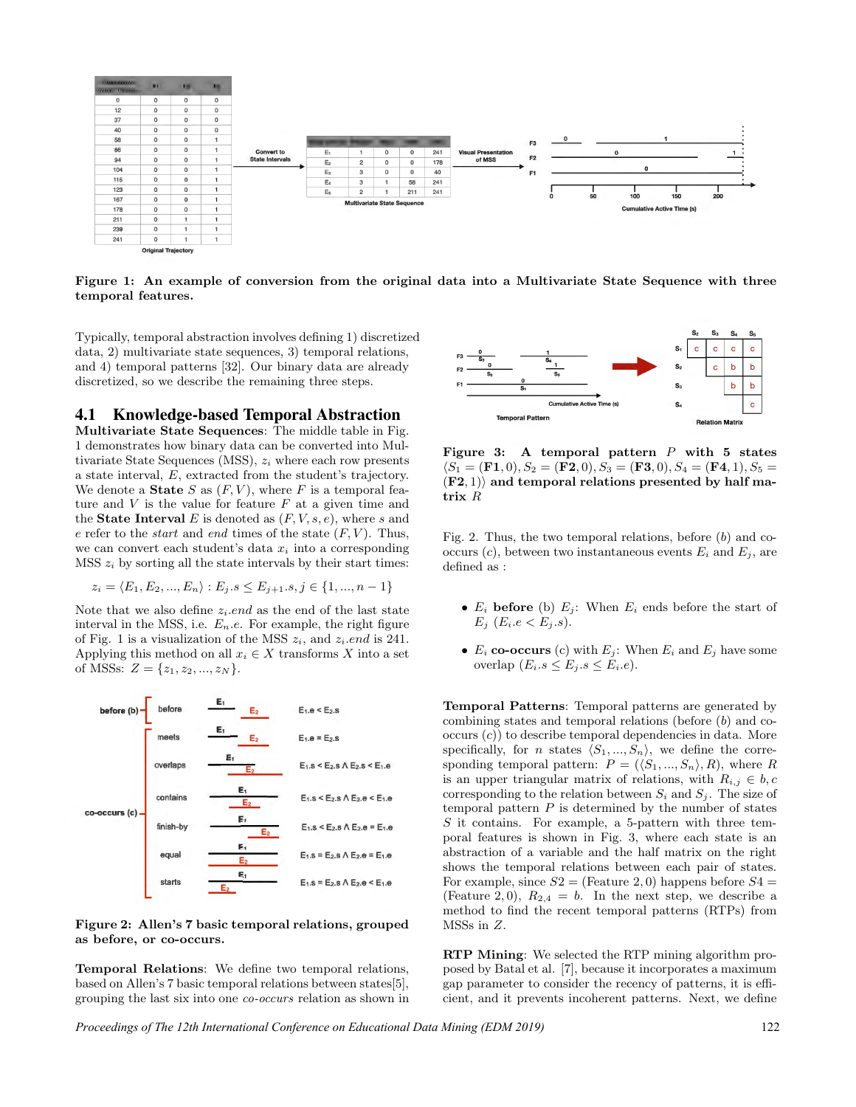

Figure 1: An example of conversion from the original data into a Multivariate State Sequence with three temporal features.

Typically, temporal abstraction involves defining 1) discretized data, 2) multivariate state sequences, 3) temporal relations, and 4) temporal patterns [32]. Our binary data are already discretized, so we describe the remaining three steps.

#### 4.1 Knowledge-based Temporal Abstraction

Multivariate State Sequences: The middle table in Fig. 1 demonstrates how binary data can be converted into Multivariate State Sequences (MSS),  $z_i$  where each row presents a state interval, E, extracted from the student's trajectory. We denote a **State** S as  $(F, V)$ , where F is a temporal feature and  $V$  is the value for feature  $F$  at a given time and the **State Interval** E is denoted as  $(F, V, s, e)$ , where s and e refer to the *start* and end times of the state  $(F, V)$ . Thus, we can convert each student's data  $x_i$  into a corresponding  $MSS$   $z_i$  by sorting all the state intervals by their start times:

$$
z_i = \langle E_1, E_2, ..., E_n \rangle : E_j.s \le E_{j+1}.s, j \in \{1, ..., n-1\}
$$

Note that we also define  $z_i$ .end as the end of the last state interval in the MSS, i.e.  $E_n.e.$  For example, the right figure of Fig. 1 is a visualization of the MSS  $z_i$ , and  $z_i$ *end* is 241. Applying this method on all  $x_i \in X$  transforms X into a set of MSSs:  $Z = \{z_1, z_2, ..., z_N\}.$ 



Figure 2: Allen's 7 basic temporal relations, grouped as before, or co-occurs.

Temporal Relations: We define two temporal relations, based on Allen's 7 basic temporal relations between states[5], grouping the last six into one co-occurs relation as shown in



Figure 3: A temporal pattern  $P$  with 5 states  $\langle S_1 = (\mathbf{F1}, 0), S_2 = (\mathbf{F2}, 0), S_3 = (\mathbf{F3}, 0), S_4 = (\mathbf{F4}, 1), S_5 =$  $(F2, 1)$  and temporal relations presented by half matrix R

Fig. 2. Thus, the two temporal relations, before (b) and cooccurs  $(c)$ , between two instantaneous events  $E_i$  and  $E_j$ , are defined as :

- $E_i$  before (b)  $E_j$ : When  $E_i$  ends before the start of  $E_j$  ( $E_i.e < E_j.s$ ).
- $E_i$  co-occurs (c) with  $E_j$ : When  $E_i$  and  $E_j$  have some overlap  $(E_i.s \leq E_i.s \leq E_i.e)$ .

Temporal Patterns: Temporal patterns are generated by combining states and temporal relations (before (b) and co $occurs (c)$  to describe temporal dependencies in data. More specifically, for *n* states  $\langle S_1, ..., S_n \rangle$ , we define the corresponding temporal pattern:  $P = (\langle S_1, ..., S_n \rangle, R)$ , where R is an upper triangular matrix of relations, with  $R_{i,j} \in b, c$ corresponding to the relation between  $S_i$  and  $S_j$ . The size of temporal pattern  $P$  is determined by the number of states S it contains. For example, a 5-pattern with three temporal features is shown in Fig. 3, where each state is an abstraction of a variable and the half matrix on the right shows the temporal relations between each pair of states. For example, since  $S2 =$  (Feature 2,0) happens before  $S4 =$ (Feature 2,0),  $R_{2,4} = b$ . In the next step, we describe a method to find the recent temporal patterns (RTPs) from MSSs in Z.

RTP Mining: We selected the RTP mining algorithm proposed by Batal et al. [7], because it incorporates a maximum gap parameter to consider the recency of patterns, it is efficient, and it prevents incoherent patterns. Next, we define

*Proceedings of The 12th International Conference on Educational Data Mining (EDM 2019)* 122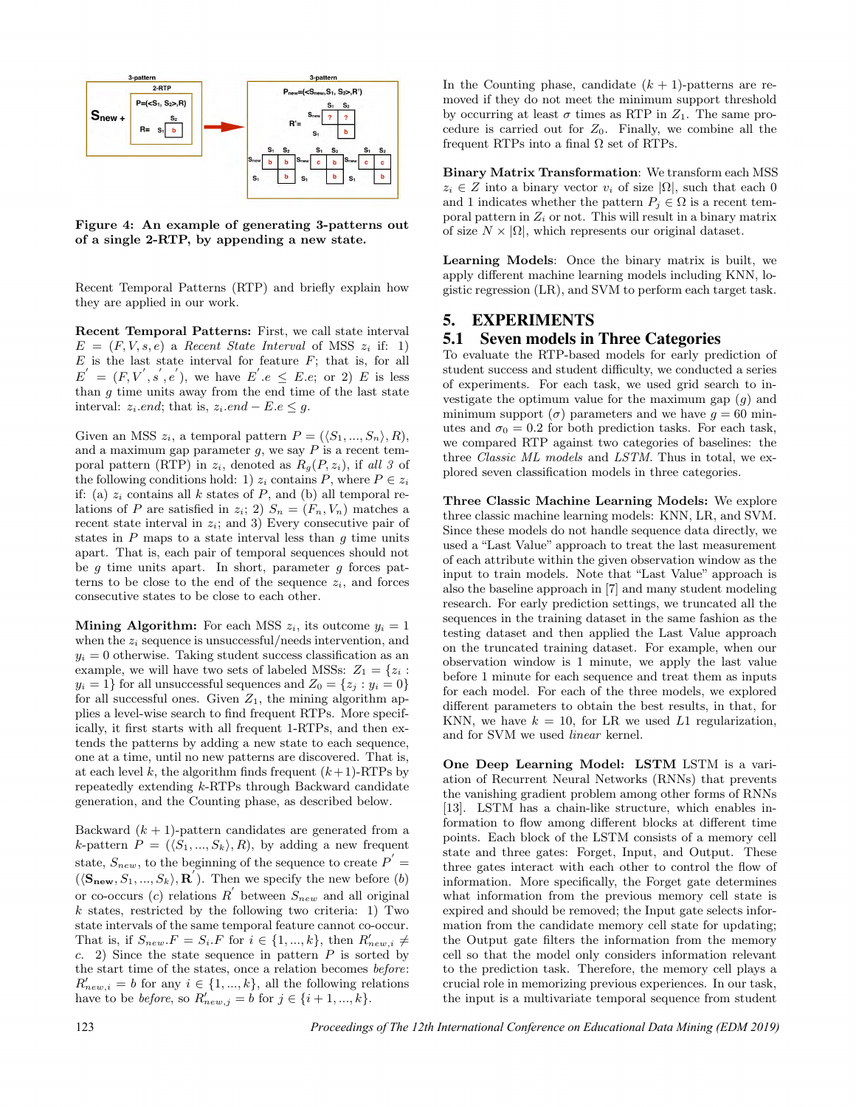

Figure 4: An example of generating 3-patterns out of a single 2-RTP, by appending a new state.

Recent Temporal Patterns (RTP) and briefly explain how they are applied in our work.

Recent Temporal Patterns: First, we call state interval  $E = (F, V, s, e)$  a Recent State Interval of MSS  $z_i$  if: 1)  $E$  is the last state interval for feature  $F$ ; that is, for all  $E' = (F, V', s', e'),$  we have  $E'.e \leq E.e$ ; or 2) E is less than  $g$  time units away from the end time of the last state interval:  $z_i$ .end; that is,  $z_i$ .end – E.e  $\leq g$ .

Given an MSS  $z_i$ , a temporal pattern  $P = (\langle S_1, ..., S_n \rangle, R)$ , and a maximum gap parameter  $g$ , we say  $P$  is a recent temporal pattern (RTP) in  $z_i$ , denoted as  $R_q(P, z_i)$ , if all 3 of the following conditions hold: 1)  $z_i$  contains P, where  $P \in z_i$ if: (a)  $z_i$  contains all k states of P, and (b) all temporal relations of P are satisfied in  $z_i$ ; 2)  $S_n = (F_n, V_n)$  matches a recent state interval in  $z_i$ ; and 3) Every consecutive pair of states in  $P$  maps to a state interval less than  $g$  time units apart. That is, each pair of temporal sequences should not be  $g$  time units apart. In short, parameter  $g$  forces patterns to be close to the end of the sequence  $z_i$ , and forces consecutive states to be close to each other.

**Mining Algorithm:** For each MSS  $z_i$ , its outcome  $y_i = 1$ when the  $z_i$  sequence is unsuccessful/needs intervention, and  $y_i = 0$  otherwise. Taking student success classification as an example, we will have two sets of labeled MSSs:  $Z_1 = \{z_i :$  $y_i = 1$ } for all unsuccessful sequences and  $Z_0 = \{z_j : y_i = 0\}$ for all successful ones. Given  $Z_1$ , the mining algorithm applies a level-wise search to find frequent RTPs. More specifically, it first starts with all frequent 1-RTPs, and then extends the patterns by adding a new state to each sequence, one at a time, until no new patterns are discovered. That is, at each level k, the algorithm finds frequent  $(k+1)$ -RTPs by repeatedly extending k-RTPs through Backward candidate generation, and the Counting phase, as described below.

Backward  $(k + 1)$ -pattern candidates are generated from a k-pattern  $P = (\langle S_1, ..., S_k \rangle, R)$ , by adding a new frequent state,  $S_{new}$ , to the beginning of the sequence to create  $P^{'} =$  $(\langle \mathbf{S}_{\mathbf{new}}, S_1, ..., S_k \rangle, \mathbf{R}^{\prime}).$  Then we specify the new before  $(b)$ or co-occurs (c) relations  $R^{'}$  between  $S_{new}$  and all original  $k$  states, restricted by the following two criteria: 1) Two state intervals of the same temporal feature cannot co-occur. That is, if  $S_{new}.F = S_i.F$  for  $i \in \{1, ..., k\}$ , then  $R'_{new,i} \neq$ c. 2) Since the state sequence in pattern  $P$  is sorted by the start time of the states, once a relation becomes before:  $R'_{new,i} = b$  for any  $i \in \{1, ..., k\}$ , all the following relations have to be *before*, so  $R'_{new,j} = b$  for  $j \in \{i+1, ..., k\}$ .

In the Counting phase, candidate  $(k + 1)$ -patterns are removed if they do not meet the minimum support threshold by occurring at least  $\sigma$  times as RTP in  $Z_1$ . The same procedure is carried out for  $Z_0$ . Finally, we combine all the frequent RTPs into a final  $\Omega$  set of RTPs.

Binary Matrix Transformation: We transform each MSS  $z_i \in Z$  into a binary vector  $v_i$  of size  $|\Omega|$ , such that each 0 and 1 indicates whether the pattern  $P_i \in \Omega$  is a recent temporal pattern in  $Z_i$  or not. This will result in a binary matrix of size  $N \times |\Omega|$ , which represents our original dataset.

Learning Models: Once the binary matrix is built, we apply different machine learning models including KNN, logistic regression (LR), and SVM to perform each target task.

#### 5. EXPERIMENTS

#### 5.1 Seven models in Three Categories

To evaluate the RTP-based models for early prediction of student success and student difficulty, we conducted a series of experiments. For each task, we used grid search to investigate the optimum value for the maximum gap  $(q)$  and minimum support ( $\sigma$ ) parameters and we have  $g = 60$  minutes and  $\sigma_0 = 0.2$  for both prediction tasks. For each task, we compared RTP against two categories of baselines: the three Classic ML models and LSTM. Thus in total, we explored seven classification models in three categories.

Three Classic Machine Learning Models: We explore three classic machine learning models: KNN, LR, and SVM. Since these models do not handle sequence data directly, we used a "Last Value" approach to treat the last measurement of each attribute within the given observation window as the input to train models. Note that "Last Value" approach is also the baseline approach in [7] and many student modeling research. For early prediction settings, we truncated all the sequences in the training dataset in the same fashion as the testing dataset and then applied the Last Value approach on the truncated training dataset. For example, when our observation window is 1 minute, we apply the last value before 1 minute for each sequence and treat them as inputs for each model. For each of the three models, we explored different parameters to obtain the best results, in that, for KNN, we have  $k = 10$ , for LR we used L1 regularization, and for SVM we used linear kernel.

One Deep Learning Model: LSTM LSTM is a variation of Recurrent Neural Networks (RNNs) that prevents the vanishing gradient problem among other forms of RNNs [13]. LSTM has a chain-like structure, which enables information to flow among different blocks at different time points. Each block of the LSTM consists of a memory cell state and three gates: Forget, Input, and Output. These three gates interact with each other to control the flow of information. More specifically, the Forget gate determines what information from the previous memory cell state is expired and should be removed; the Input gate selects information from the candidate memory cell state for updating; the Output gate filters the information from the memory cell so that the model only considers information relevant to the prediction task. Therefore, the memory cell plays a crucial role in memorizing previous experiences. In our task, the input is a multivariate temporal sequence from student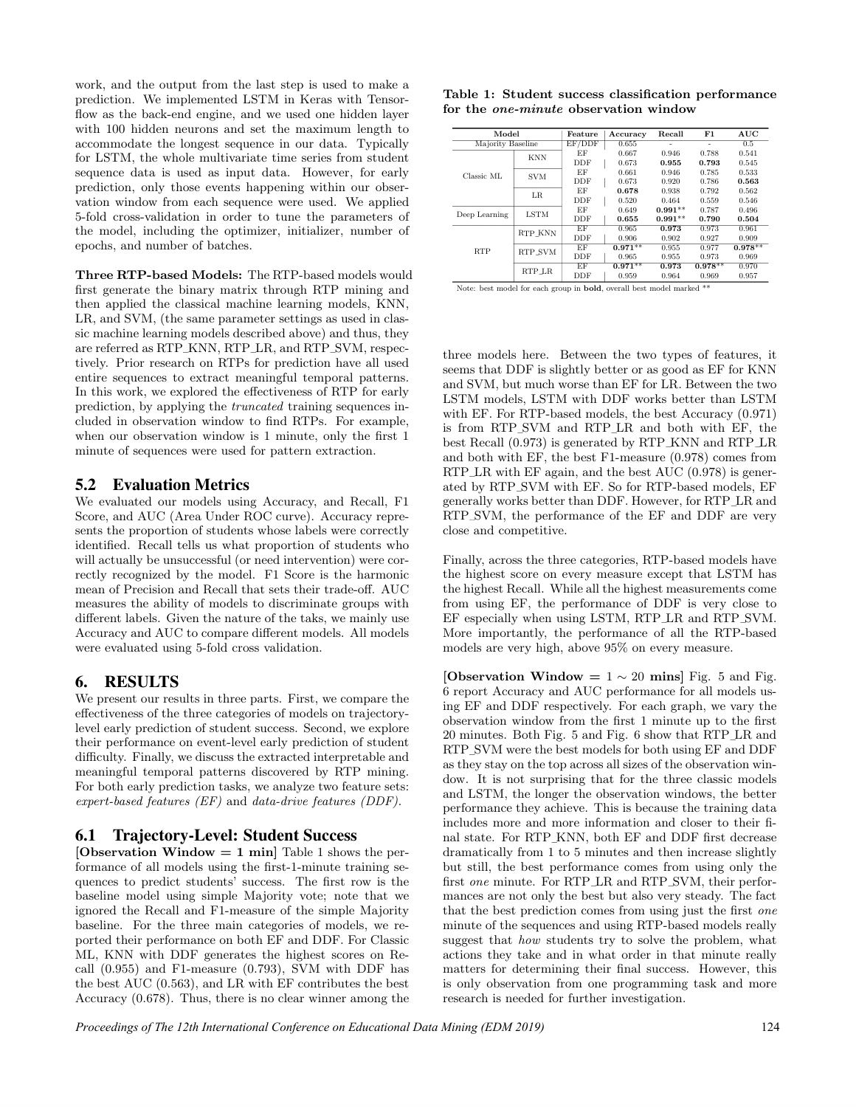work, and the output from the last step is used to make a prediction. We implemented LSTM in Keras with Tensorflow as the back-end engine, and we used one hidden layer with 100 hidden neurons and set the maximum length to accommodate the longest sequence in our data. Typically for LSTM, the whole multivariate time series from student sequence data is used as input data. However, for early prediction, only those events happening within our observation window from each sequence were used. We applied 5-fold cross-validation in order to tune the parameters of the model, including the optimizer, initializer, number of epochs, and number of batches.

Three RTP-based Models: The RTP-based models would first generate the binary matrix through RTP mining and then applied the classical machine learning models, KNN, LR, and SVM, (the same parameter settings as used in classic machine learning models described above) and thus, they are referred as RTP KNN, RTP LR, and RTP SVM, respectively. Prior research on RTPs for prediction have all used entire sequences to extract meaningful temporal patterns. In this work, we explored the effectiveness of RTP for early prediction, by applying the truncated training sequences included in observation window to find RTPs. For example, when our observation window is 1 minute, only the first 1 minute of sequences were used for pattern extraction.

# 5.2 Evaluation Metrics

We evaluated our models using Accuracy, and Recall, F1 Score, and AUC (Area Under ROC curve). Accuracy represents the proportion of students whose labels were correctly identified. Recall tells us what proportion of students who will actually be unsuccessful (or need intervention) were correctly recognized by the model. F1 Score is the harmonic mean of Precision and Recall that sets their trade-off. AUC measures the ability of models to discriminate groups with different labels. Given the nature of the taks, we mainly use Accuracy and AUC to compare different models. All models were evaluated using 5-fold cross validation.

# 6. RESULTS

We present our results in three parts. First, we compare the effectiveness of the three categories of models on trajectorylevel early prediction of student success. Second, we explore their performance on event-level early prediction of student difficulty. Finally, we discuss the extracted interpretable and meaningful temporal patterns discovered by RTP mining. For both early prediction tasks, we analyze two feature sets: expert-based features (EF) and data-drive features (DDF).

#### 6.1 Trajectory-Level: Student Success

[Observation Window  $= 1$  min] Table 1 shows the performance of all models using the first-1-minute training sequences to predict students' success. The first row is the baseline model using simple Majority vote; note that we ignored the Recall and F1-measure of the simple Majority baseline. For the three main categories of models, we reported their performance on both EF and DDF. For Classic ML, KNN with DDF generates the highest scores on Recall (0.955) and F1-measure (0.793), SVM with DDF has the best AUC (0.563), and LR with EF contributes the best Accuracy (0.678). Thus, there is no clear winner among the

|  |  |  |                                              | Table 1: Student success classification performance |  |
|--|--|--|----------------------------------------------|-----------------------------------------------------|--|
|  |  |  | for the <i>one-minute</i> observation window |                                                     |  |

| Model             |             | Feature    | Accuracy  | Recall    | F1        | AUC       |
|-------------------|-------------|------------|-----------|-----------|-----------|-----------|
| Majority Baseline |             | EF/DDF     | 0.655     |           |           | 0.5       |
|                   | <b>KNN</b>  | EF         | 0.667     | 0.946     | 0.788     | 0.541     |
|                   |             | DDF        | 0.673     | 0.955     | 0.793     | 0.545     |
| Classic ML        | <b>SVM</b>  | EF         | 0.661     | 0.946     | 0.785     | 0.533     |
|                   |             | DDF        | 0.673     | 0.920     | 0.786     | 0.563     |
|                   | LR          | EF         | 0.678     | 0.938     | 0.792     | 0.562     |
|                   |             | <b>DDF</b> | 0.520     | 0.464     | 0.559     | 0.546     |
| Deep Learning     | <b>LSTM</b> | EF         | 0.649     | $0.991**$ | 0.787     | 0.496     |
|                   |             | DDF        | 0.655     | $0.991**$ | 0.790     | 0.504     |
|                   | RTP KNN     | EF         | 0.965     | 0.973     | 0.973     | 0.961     |
|                   |             | <b>DDF</b> | 0.906     | 0.902     | 0.927     | 0.909     |
| <b>RTP</b>        | RTP SVM     | EF         | $0.971**$ | 0.955     | 0.977     | $0.978**$ |
|                   |             | <b>DDF</b> | 0.965     | 0.955     | 0.973     | 0.969     |
|                   | RTP LR      | EF         | $0.971**$ | 0.973     | $0.978**$ | 0.970     |
|                   |             | DDF        | 0.959     | 0.964     | 0.969     | 0.957     |

Note: best model for each group in bold, overall best model marked \*\*

three models here. Between the two types of features, it seems that DDF is slightly better or as good as EF for KNN and SVM, but much worse than EF for LR. Between the two LSTM models, LSTM with DDF works better than LSTM with EF. For RTP-based models, the best Accuracy (0.971) is from RTP SVM and RTP LR and both with EF, the best Recall (0.973) is generated by RTP KNN and RTP LR and both with EF, the best F1-measure (0.978) comes from RTP $\perp$ R with EF again, and the best AUC (0.978) is generated by RTP SVM with EF. So for RTP-based models, EF generally works better than DDF. However, for RTP LR and RTP\_SVM, the performance of the EF and DDF are very close and competitive.

Finally, across the three categories, RTP-based models have the highest score on every measure except that LSTM has the highest Recall. While all the highest measurements come from using EF, the performance of DDF is very close to EF especially when using LSTM, RTP LR and RTP SVM. More importantly, the performance of all the RTP-based models are very high, above 95% on every measure.

[Observation Window =  $1 \sim 20$  mins] Fig. 5 and Fig. 6 report Accuracy and AUC performance for all models using EF and DDF respectively. For each graph, we vary the observation window from the first 1 minute up to the first 20 minutes. Both Fig. 5 and Fig. 6 show that RTP LR and RTP SVM were the best models for both using EF and DDF as they stay on the top across all sizes of the observation window. It is not surprising that for the three classic models and LSTM, the longer the observation windows, the better performance they achieve. This is because the training data includes more and more information and closer to their final state. For RTP KNN, both EF and DDF first decrease dramatically from 1 to 5 minutes and then increase slightly but still, the best performance comes from using only the first one minute. For RTP\_LR and RTP\_SVM, their performances are not only the best but also very steady. The fact that the best prediction comes from using just the first one minute of the sequences and using RTP-based models really suggest that how students try to solve the problem, what actions they take and in what order in that minute really matters for determining their final success. However, this is only observation from one programming task and more research is needed for further investigation.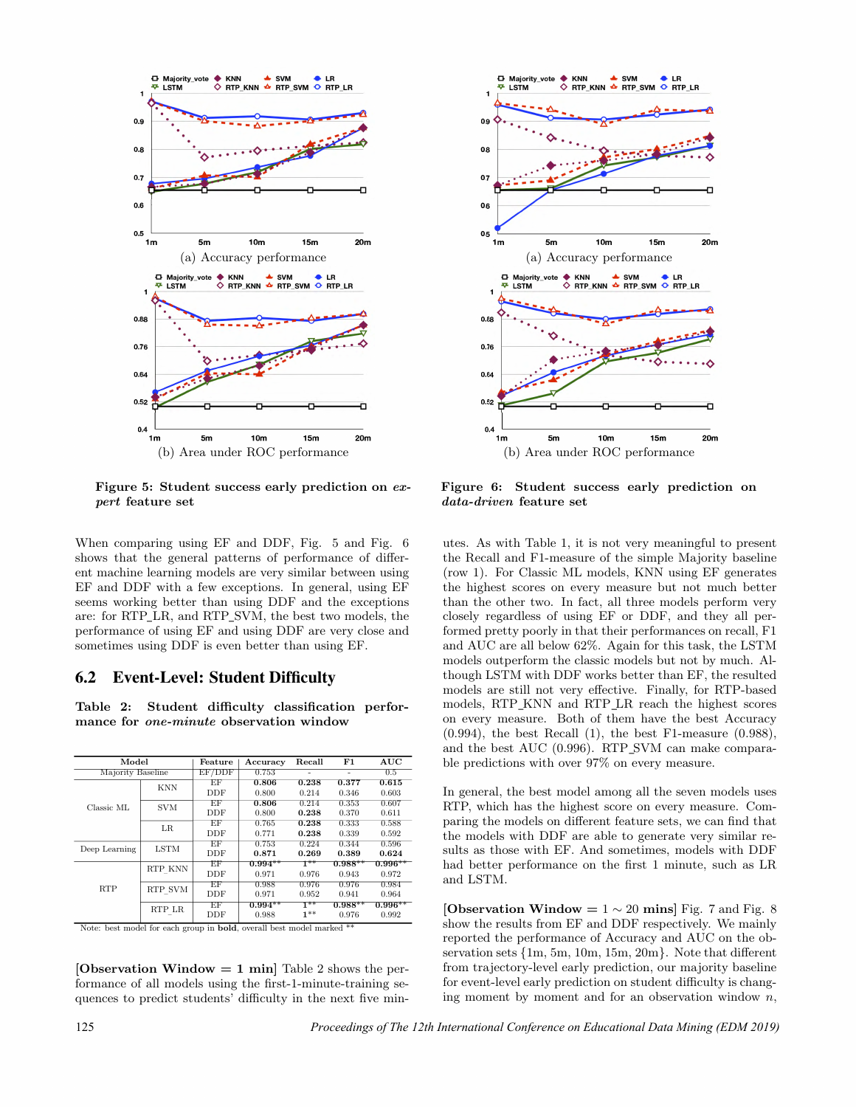

Figure 5: Student success early prediction on expert feature set

When comparing using EF and DDF, Fig. 5 and Fig. 6 shows that the general patterns of performance of different machine learning models are very similar between using EF and DDF with a few exceptions. In general, using EF seems working better than using DDF and the exceptions are: for RTP\_LR, and RTP\_SVM, the best two models, the performance of using EF and using DDF are very close and sometimes using DDF is even better than using EF.

#### 6.2 Event-Level: Student Difficulty

Table 2: Student difficulty classification performance for one-minute observation window

| Model             | Feature                                                                                                                                                                                                                                                                                                                                                                                                                                                                                           | Accuracy | Recall | F1    | AUC                |
|-------------------|---------------------------------------------------------------------------------------------------------------------------------------------------------------------------------------------------------------------------------------------------------------------------------------------------------------------------------------------------------------------------------------------------------------------------------------------------------------------------------------------------|----------|--------|-------|--------------------|
| Majority Baseline |                                                                                                                                                                                                                                                                                                                                                                                                                                                                                                   |          |        |       | $0.5^{\circ}$      |
|                   | EF                                                                                                                                                                                                                                                                                                                                                                                                                                                                                                | 0.806    | 0.238  | 0.377 | 0.615              |
|                   | EF/DDF<br>0.753<br><b>DDF</b><br>0.800<br>0.214<br>0.346<br>0.806<br>0.353<br>EF<br>0.214<br><b>DDF</b><br>0.800<br>0.238<br>0.370<br>EF<br>0.765<br>0.238<br>0.333<br><b>DDF</b><br>0.771<br>0.238<br>0.339<br>EF<br>0.753<br>0.224<br>0.344<br><b>DDF</b><br>0.871<br>0.389<br>0.269<br>ז≭ ך<br>EF<br>$0.988**$<br>$0.994**$<br><b>DDF</b><br>0.971<br>0.976<br>0.943<br>EF<br>0.988<br>0.976<br>0.976<br><b>DDF</b><br>0.971<br>0.952<br>0.941<br>1**<br>EF<br>$0.994**$<br>$0.988**$<br>$1**$ | 0.603    |        |       |                    |
|                   |                                                                                                                                                                                                                                                                                                                                                                                                                                                                                                   |          |        |       | 0.607              |
|                   |                                                                                                                                                                                                                                                                                                                                                                                                                                                                                                   |          |        |       | 0.611              |
| LR.               |                                                                                                                                                                                                                                                                                                                                                                                                                                                                                                   |          |        |       | 0.588              |
|                   |                                                                                                                                                                                                                                                                                                                                                                                                                                                                                                   |          |        |       | 0.592              |
|                   |                                                                                                                                                                                                                                                                                                                                                                                                                                                                                                   |          |        |       | 0.596              |
|                   |                                                                                                                                                                                                                                                                                                                                                                                                                                                                                                   |          |        |       | 0.624              |
| RTP KNN           |                                                                                                                                                                                                                                                                                                                                                                                                                                                                                                   |          |        |       | $0.996^{\ast\ast}$ |
|                   |                                                                                                                                                                                                                                                                                                                                                                                                                                                                                                   |          |        |       | 0.972              |
| RTP SVM           |                                                                                                                                                                                                                                                                                                                                                                                                                                                                                                   |          |        |       | 0.984              |
|                   |                                                                                                                                                                                                                                                                                                                                                                                                                                                                                                   |          |        |       | 0.964              |
| RTP LR            |                                                                                                                                                                                                                                                                                                                                                                                                                                                                                                   |          |        |       | $0.996**$          |
|                   | <b>DDF</b>                                                                                                                                                                                                                                                                                                                                                                                                                                                                                        | 0.988    |        | 0.976 | 0.992              |
|                   | <b>KNN</b><br><b>SVM</b><br><b>LSTM</b>                                                                                                                                                                                                                                                                                                                                                                                                                                                           |          |        |       |                    |

Note: best model for each group in **bold**, overall best model marked

[Observation Window  $= 1$  min] Table 2 shows the performance of all models using the first-1-minute-training sequences to predict students' difficulty in the next five min-



Figure 6: Student success early prediction on data-driven feature set

utes. As with Table 1, it is not very meaningful to present the Recall and F1-measure of the simple Majority baseline (row 1). For Classic ML models, KNN using EF generates the highest scores on every measure but not much better than the other two. In fact, all three models perform very closely regardless of using EF or DDF, and they all performed pretty poorly in that their performances on recall, F1 and AUC are all below 62%. Again for this task, the LSTM models outperform the classic models but not by much. Although LSTM with DDF works better than EF, the resulted models are still not very effective. Finally, for RTP-based models, RTP KNN and RTP LR reach the highest scores on every measure. Both of them have the best Accuracy  $(0.994)$ , the best Recall  $(1)$ , the best F1-measure  $(0.988)$ , and the best AUC (0.996). RTP SVM can make comparable predictions with over 97% on every measure.

In general, the best model among all the seven models uses RTP, which has the highest score on every measure. Comparing the models on different feature sets, we can find that the models with DDF are able to generate very similar results as those with EF. And sometimes, models with DDF had better performance on the first 1 minute, such as LR and LSTM.

[Observation Window =  $1 \sim 20$  mins] Fig. 7 and Fig. 8 show the results from EF and DDF respectively. We mainly reported the performance of Accuracy and AUC on the observation sets {1m, 5m, 10m, 15m, 20m}. Note that different from trajectory-level early prediction, our majority baseline for event-level early prediction on student difficulty is changing moment by moment and for an observation window  $n$ ,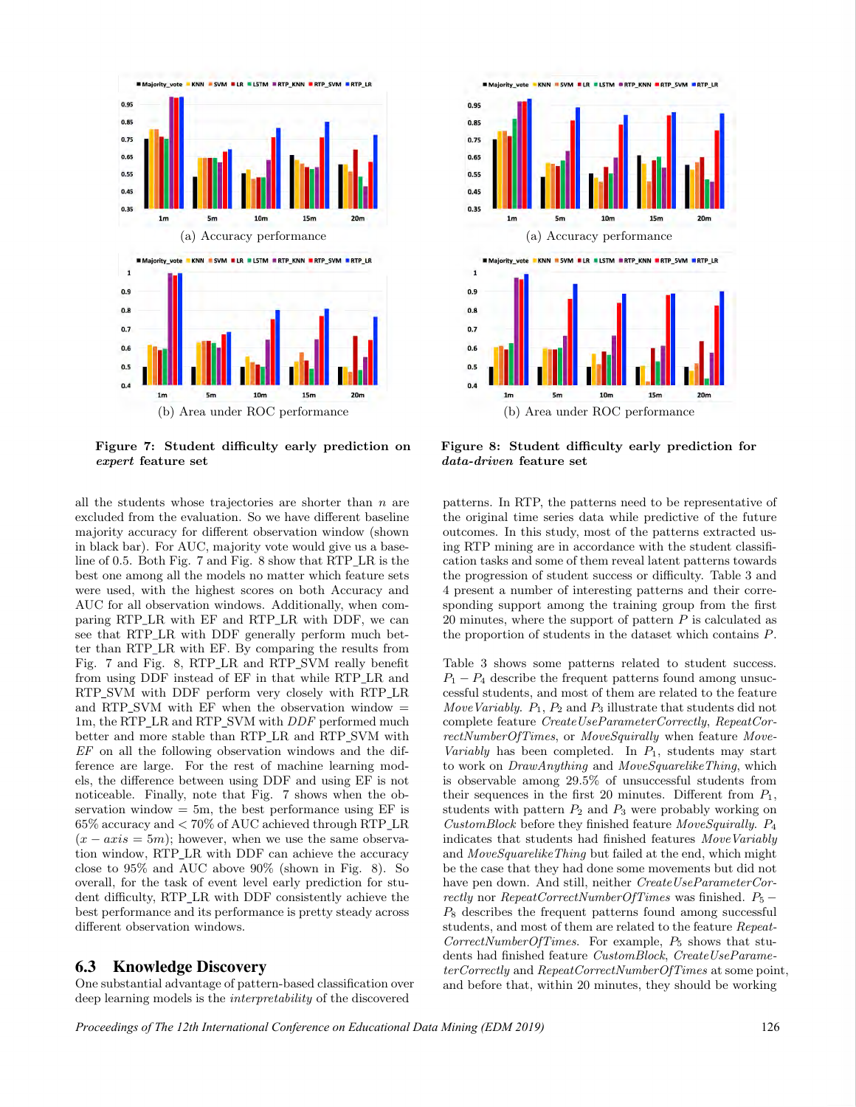

Figure 7: Student difficulty early prediction on expert feature set

all the students whose trajectories are shorter than  $n$  are excluded from the evaluation. So we have different baseline majority accuracy for different observation window (shown in black bar). For AUC, majority vote would give us a baseline of 0.5. Both Fig. 7 and Fig. 8 show that RTP LR is the best one among all the models no matter which feature sets were used, with the highest scores on both Accuracy and AUC for all observation windows. Additionally, when comparing RTP\_LR with EF and RTP\_LR with DDF, we can see that RTP\_LR with DDF generally perform much better than RTP LR with EF. By comparing the results from Fig. 7 and Fig. 8, RTP\_LR and RTP\_SVM really benefit from using DDF instead of EF in that while RTP LR and RTP SVM with DDF perform very closely with RTP LR and RTP\_SVM with EF when the observation window  $=$ 1m, the RTP\_LR and RTP\_SVM with *DDF* performed much better and more stable than RTP LR and RTP SVM with EF on all the following observation windows and the difference are large. For the rest of machine learning models, the difference between using DDF and using EF is not noticeable. Finally, note that Fig. 7 shows when the observation window  $= 5m$ , the best performance using EF is 65% accuracy and < 70% of AUC achieved through RTP LR  $(x - axis = 5m)$ ; however, when we use the same observation window, RTP LR with DDF can achieve the accuracy close to 95% and AUC above 90% (shown in Fig. 8). So overall, for the task of event level early prediction for student difficulty, RTP\_LR with DDF consistently achieve the best performance and its performance is pretty steady across different observation windows.

#### 6.3 Knowledge Discovery

One substantial advantage of pattern-based classification over deep learning models is the interpretability of the discovered



(b) Area under ROC performance

Figure 8: Student difficulty early prediction for data-driven feature set

patterns. In RTP, the patterns need to be representative of the original time series data while predictive of the future outcomes. In this study, most of the patterns extracted using RTP mining are in accordance with the student classification tasks and some of them reveal latent patterns towards the progression of student success or difficulty. Table 3 and 4 present a number of interesting patterns and their corresponding support among the training group from the first 20 minutes, where the support of pattern  $P$  is calculated as the proportion of students in the dataset which contains P.

Table 3 shows some patterns related to student success.  $P_1 - P_4$  describe the frequent patterns found among unsuccessful students, and most of them are related to the feature Move Variably.  $P_1$ ,  $P_2$  and  $P_3$  illustrate that students did not complete feature CreateUseParameterCorrectly, RepeatCorrectNumberOfTimes, or MoveSquirally when feature Move-Variably has been completed. In  $P_1$ , students may start to work on DrawAnything and MoveSquarelikeThing, which is observable among 29.5% of unsuccessful students from their sequences in the first 20 minutes. Different from  $P_1$ , students with pattern  $P_2$  and  $P_3$  were probably working on CustomBlock before they finished feature MoveSquirally. P<sup>4</sup> indicates that students had finished features MoveVariably and MoveSquarelikeThing but failed at the end, which might be the case that they had done some movements but did not have pen down. And still, neither CreateUseParameterCorrectly nor RepeatCorrectNumberOfTimes was finished.  $P_5$  –  $P_8$  describes the frequent patterns found among successful students, and most of them are related to the feature Repeat- $CorrectNumberOfTimes.$  For example,  $P_5$  shows that students had finished feature CustomBlock, CreateUseParameterCorrectly and RepeatCorrectNumberOfTimes at some point, and before that, within 20 minutes, they should be working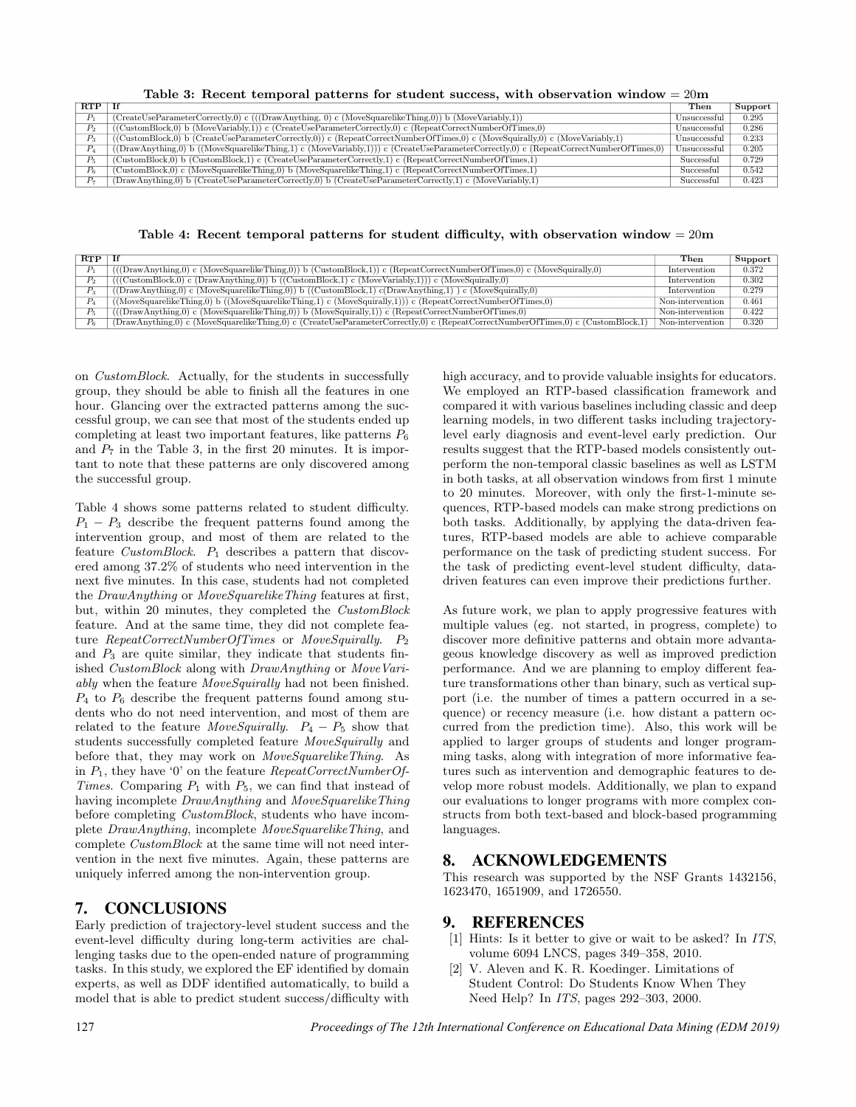Table 3: Recent temporal patterns for student success, with observation window = 20m

| RTP                         | - Tf                                                                                                                                                                                 | Then         | Support |
|-----------------------------|--------------------------------------------------------------------------------------------------------------------------------------------------------------------------------------|--------------|---------|
| $\mathcal{D}_{\mathcal{A}}$ | $CreateUseParameter Correctly, 0) c (((Draw Anything, 0) c (MoveSquarelikeThings, 0)) b (MoveVariable{This}),$                                                                       | Unsuccessful | 0.295   |
| P <sub>2</sub>              | $((\text{CustomBlock}, 0) \text{ b } (\text{MoveVariable}, 1)) \in (\text{CreateUseParameterCorrectly}, 0) \in (\text{RepeatCorrectNumberOfTimes}, 0)$                               | Unsuccessful | 0.286   |
| $P_3$                       | $((\text{CustomBlock}, 0) \text{ b } (\text{CreateUseParameterCorrectly}, 0)) \in (\text{RepeatCorrectNumberOfTimes}, 0) \in (\text{MoveSquirally}, 0) \in (\text{MoveVariable}, 1)$ | Unsuccessful | 0.233   |
| $P_{4}$                     | (DrawAnything,0) b ((MoveSquarelikeThing,1) c (MoveVariably,1))) c (CreateUseParameterCorrectly,0) c (RepeatCorrectNumberOfTimes,0)                                                  | Unsuccessful | 0.205   |
| $P_5$                       | $CustomBlock,0)$ b (CustomBlock,1) c (CreateUseParameterCorrectly,1) c (RepeatCorrectNumberOfTimes,1)                                                                                | Successful   | 0.729   |
| $P_6$                       | $\text{CustomBlock}, 0$ c (MoveSquarelikeThing,0) b (MoveSquarelikeThing,1) c (RepeatCorrectNumberOfTimes,1)                                                                         | Successful   | 0.542   |
| $P_7$                       | (DrawAnything,0) b (CreateUseParameterCorrectly,0) b (CreateUseParameterCorrectly,1) c (MoveVariably,1)                                                                              | Successful   | 0.423   |

Table 4: Recent temporal patterns for student difficulty, with observation window =  $20m$ 

| <b>RTP</b>     | Tf                                                                                                                                                                              | Then             | Support |
|----------------|---------------------------------------------------------------------------------------------------------------------------------------------------------------------------------|------------------|---------|
|                | $(DrawAnything,0)$ c (MoveSquarelikeThing,0)) b (CustomBlock,1) c (RepeatCorrectNumberOfTimes,0) c (MoveSquirally,0)                                                            | Intervention     | 0.372   |
| $P_{2}$        | $(((\text{CustomBlock}, 0) \text{ c } (\text{DrawAnything}, 0)) \text{ b } ((\text{CustomBlock}, 1) \text{ c } (\text{MoveVariable}, 1))) \text{ c } (\text{MoveSquirally}, 0)$ | Intervention     | 0.302   |
| P <sub>2</sub> | $((DrawAnything,0)$ c $(MoveSquarelikeThinking,0))$ b $((CustomerBlock,1)$ c $(DrawAnything,1)$ c $(MoveSquirally,0)$                                                           | Intervention     | 0.279   |
| $P_{4}$        | $((MoveSquarelikeThing, 0) b ((MoveSquarelikeThing, 1) c (MoveSquirally, 1))) c (RepeatCorrectNumberOffTimes, 0)$                                                               | Non-intervention | 0.461   |
| $P_{5}$        | $(DrawAnything,0)$ c (MoveSquarelikeThing,0)) b (MoveSquirally,1) c (RepeatCorrectNumberOfTimes,0)                                                                              | Non-intervention | 0.422   |
| $P_{\kappa}$   | (DrawAnything,0) c (MoveSquarelikeThing,0) c (CreateUseParameterCorrectly,0) c (RepeatCorrectNumberOfTimes,0) c (CustomBlock,1)                                                 | Non-intervention | 0.320   |

on CustomBlock. Actually, for the students in successfully group, they should be able to finish all the features in one hour. Glancing over the extracted patterns among the successful group, we can see that most of the students ended up completing at least two important features, like patterns  $P_6$ and  $P_7$  in the Table 3, in the first 20 minutes. It is important to note that these patterns are only discovered among the successful group.

Table 4 shows some patterns related to student difficulty.  $P_1 - P_3$  describe the frequent patterns found among the intervention group, and most of them are related to the feature CustomBlock.  $P_1$  describes a pattern that discovered among 37.2% of students who need intervention in the next five minutes. In this case, students had not completed the DrawAnything or MoveSquarelikeThing features at first, but, within 20 minutes, they completed the CustomBlock feature. And at the same time, they did not complete feature  $RepeatCorrectNumberOfTimes$  or  $MoveSquirally.$   $P_2$ and  $P_3$  are quite similar, they indicate that students finished CustomBlock along with DrawAnything or MoveVariably when the feature MoveSquirally had not been finished.  $P_4$  to  $P_6$  describe the frequent patterns found among students who do not need intervention, and most of them are related to the feature MoveSquirally.  $P_4 - P_5$  show that students successfully completed feature *MoveSquirally* and before that, they may work on MoveSquarelikeThing. As in  $P_1$ , they have '0' on the feature *RepeatCorrectNumberOf*-Times. Comparing  $P_1$  with  $P_5$ , we can find that instead of having incomplete DrawAnything and MoveSquarelikeThing before completing CustomBlock, students who have incomplete DrawAnything, incomplete MoveSquarelikeThing, and complete CustomBlock at the same time will not need intervention in the next five minutes. Again, these patterns are uniquely inferred among the non-intervention group.

# 7. CONCLUSIONS

Early prediction of trajectory-level student success and the event-level difficulty during long-term activities are challenging tasks due to the open-ended nature of programming tasks. In this study, we explored the EF identified by domain experts, as well as DDF identified automatically, to build a model that is able to predict student success/difficulty with

high accuracy, and to provide valuable insights for educators. We employed an RTP-based classification framework and compared it with various baselines including classic and deep learning models, in two different tasks including trajectorylevel early diagnosis and event-level early prediction. Our results suggest that the RTP-based models consistently outperform the non-temporal classic baselines as well as LSTM in both tasks, at all observation windows from first 1 minute to 20 minutes. Moreover, with only the first-1-minute sequences, RTP-based models can make strong predictions on both tasks. Additionally, by applying the data-driven features, RTP-based models are able to achieve comparable performance on the task of predicting student success. For the task of predicting event-level student difficulty, datadriven features can even improve their predictions further.

As future work, we plan to apply progressive features with multiple values (eg. not started, in progress, complete) to discover more definitive patterns and obtain more advantageous knowledge discovery as well as improved prediction performance. And we are planning to employ different feature transformations other than binary, such as vertical support (i.e. the number of times a pattern occurred in a sequence) or recency measure (i.e. how distant a pattern occurred from the prediction time). Also, this work will be applied to larger groups of students and longer programming tasks, along with integration of more informative features such as intervention and demographic features to develop more robust models. Additionally, we plan to expand our evaluations to longer programs with more complex constructs from both text-based and block-based programming languages.

# 8. ACKNOWLEDGEMENTS

This research was supported by the NSF Grants 1432156, 1623470, 1651909, and 1726550.

# 9. REFERENCES

- [1] Hints: Is it better to give or wait to be asked? In ITS, volume 6094 LNCS, pages 349–358, 2010.
- [2] V. Aleven and K. R. Koedinger. Limitations of Student Control: Do Students Know When They Need Help? In ITS, pages 292–303, 2000.